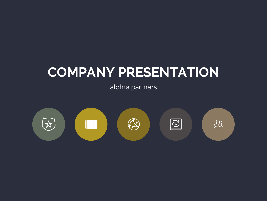# **COMPANY PRESENTATION**

alphra partners

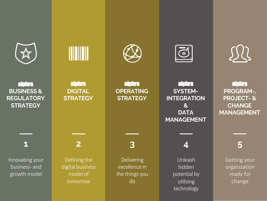

alphra **BUSINESS & REGULATORY STRATEGY**

**1**

Innovating your business- and growth model



Defining the digital business model of tomorrow

**2**

- alphra partners confidential - © alphra partners -





alphra **OPERATING STRATEGY**

**3**

Delivering excellence in the things you do

alphra **SYSTEM-INTEGRATION & DATA MANAGEMENT**

 $\widetilde{\mathbf{C}}$ 

**4**

Unleash hidden potential by utilizing technology



alphra partners delivering excellence in consulting

> alphra **PROGRAM-, PROJECT- & CHANGE MANAGEMENT**

> > **5**

Getting your organization ready for change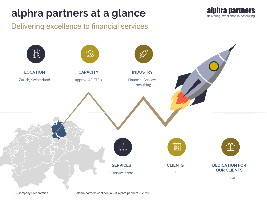## alphra partners at a glance alphra partners

Delivering excellence to financial services



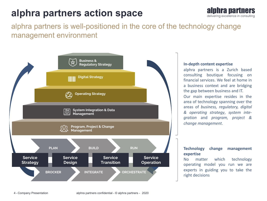### **alphra partners action space alphra partners**



### alphra partners is well-positioned in the core of the technology change management environment



#### **In-depth content expertise**

alphra partners is a Zurich based consulting boutique focusing on financial services. We feel at home in a business context and are bridging the gap between business and IT. Our main expertise resides in the area of technology spanning over the areas of *business, regulatory, digital & operating strategy*, *system integration* and *program, project & change management*.

### **Technology change management expertise**

No matter which technology operating model you run we are experts in guiding you to take the right decisions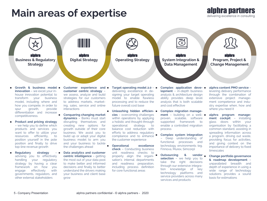### **Main areas of expertise** alphra partners

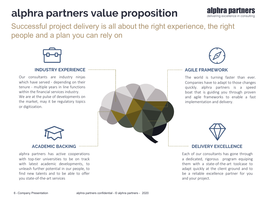## alphra partners value proposition alphra partners



Successful project delivery is all about the right experience, the right people and a plan you can rely on



### **INDUSTRY EXPERIENCE**

Our consultants are industry ninjas which have served - depending on their tenure - multiple years in line functions within the financial services industry. We are at the pulse of developments on the market, may it be regulatory topics or digitization.





#### **AGILE FRAMEWORK**

The world is turning faster than ever. Companies have to adapt to those changes quickly. alphra partners is a speed boat that is guiding you through proven and agile frameworks to enable a fast implementation and delivery.



### **DELIVERY EXCELLENCE**

Each of our consultants has gone through a dedicated, rigorous program equiping them with a state-of-the-art toolcase to adapt quickly at the client ground and to be a reliable excellence partner for you and your project.



### **ACADEMIC BACKING**

alphra partners has active cooperations with top-tier universities to be on track with latest academic developments, to unleash further potential in our people, to find new talents and to be able to offer you state-of-the-art services